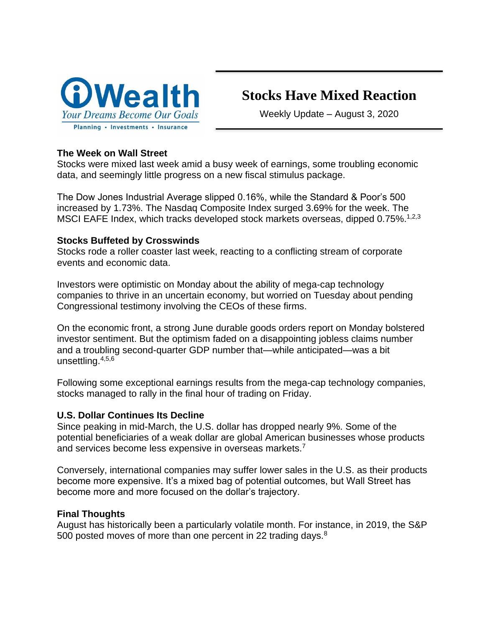

# **Stocks Have Mixed Reaction**

Weekly Update – August 3, 2020

### **The Week on Wall Street**

Stocks were mixed last week amid a busy week of earnings, some troubling economic data, and seemingly little progress on a new fiscal stimulus package.

The Dow Jones Industrial Average slipped 0.16%, while the Standard & Poor's 500 increased by 1.73%. The Nasdaq Composite Index surged 3.69% for the week. The MSCI EAFE Index, which tracks developed stock markets overseas, dipped 0.75%.<sup>1,2,3</sup>

### **Stocks Buffeted by Crosswinds**

Stocks rode a roller coaster last week, reacting to a conflicting stream of corporate events and economic data.

Investors were optimistic on Monday about the ability of mega-cap technology companies to thrive in an uncertain economy, but worried on Tuesday about pending Congressional testimony involving the CEOs of these firms.

On the economic front, a strong June durable goods orders report on Monday bolstered investor sentiment. But the optimism faded on a disappointing jobless claims number and a troubling second-quarter GDP number that—while anticipated—was a bit unsettling.4,5,6

Following some exceptional earnings results from the mega-cap technology companies, stocks managed to rally in the final hour of trading on Friday.

# **U.S. Dollar Continues Its Decline**

Since peaking in mid-March, the U.S. dollar has dropped nearly 9%. Some of the potential beneficiaries of a weak dollar are global American businesses whose products and services become less expensive in overseas markets.<sup>7</sup>

Conversely, international companies may suffer lower sales in the U.S. as their products become more expensive. It's a mixed bag of potential outcomes, but Wall Street has become more and more focused on the dollar's trajectory.

### **Final Thoughts**

August has historically been a particularly volatile month. For instance, in 2019, the S&P 500 posted moves of more than one percent in 22 trading days.<sup>8</sup>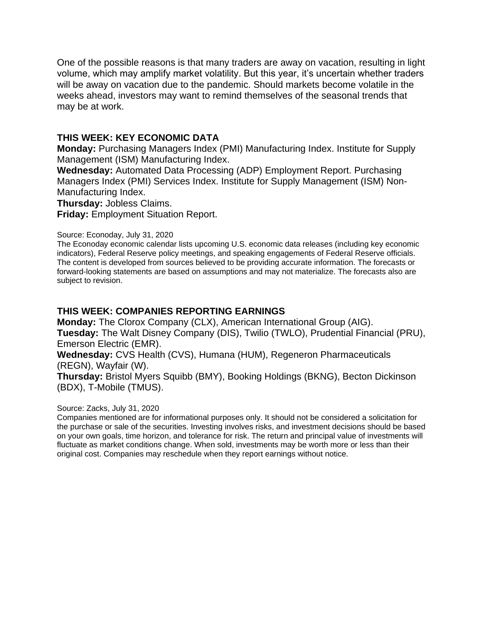One of the possible reasons is that many traders are away on vacation, resulting in light volume, which may amplify market volatility. But this year, it's uncertain whether traders will be away on vacation due to the pandemic. Should markets become volatile in the weeks ahead, investors may want to remind themselves of the seasonal trends that may be at work.

### **THIS WEEK: KEY ECONOMIC DATA**

**Monday:** Purchasing Managers Index (PMI) Manufacturing Index. Institute for Supply Management (ISM) Manufacturing Index.

**Wednesday:** Automated Data Processing (ADP) Employment Report. Purchasing Managers Index (PMI) Services Index. Institute for Supply Management (ISM) Non-Manufacturing Index.

**Thursday:** Jobless Claims.

**Friday:** Employment Situation Report.

#### Source: Econoday, July 31, 2020

The Econoday economic calendar lists upcoming U.S. economic data releases (including key economic indicators), Federal Reserve policy meetings, and speaking engagements of Federal Reserve officials. The content is developed from sources believed to be providing accurate information. The forecasts or forward-looking statements are based on assumptions and may not materialize. The forecasts also are subject to revision.

### **THIS WEEK: COMPANIES REPORTING EARNINGS**

**Monday:** The Clorox Company (CLX), American International Group (AIG). **Tuesday:** The Walt Disney Company (DIS), Twilio (TWLO), Prudential Financial (PRU), Emerson Electric (EMR).

**Wednesday:** CVS Health (CVS), Humana (HUM), Regeneron Pharmaceuticals (REGN), Wayfair (W).

**Thursday:** Bristol Myers Squibb (BMY), Booking Holdings (BKNG), Becton Dickinson (BDX), T-Mobile (TMUS).

### Source: Zacks, July 31, 2020

Companies mentioned are for informational purposes only. It should not be considered a solicitation for the purchase or sale of the securities. Investing involves risks, and investment decisions should be based on your own goals, time horizon, and tolerance for risk. The return and principal value of investments will fluctuate as market conditions change. When sold, investments may be worth more or less than their original cost. Companies may reschedule when they report earnings without notice.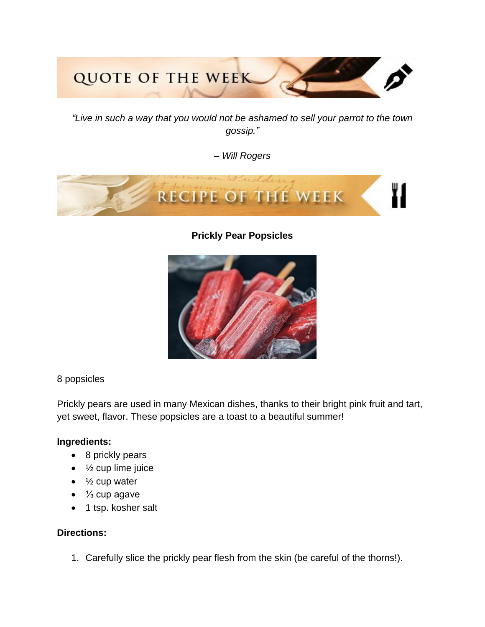# **QUOTE OF THE WEEK**

*"Live in such a way that you would not be ashamed to sell your parrot to the town gossip."*

*– Will Rogers*



**Prickly Pear Popsicles**



# 8 popsicles

Prickly pears are used in many Mexican dishes, thanks to their bright pink fruit and tart, yet sweet, flavor. These popsicles are a toast to a beautiful summer!

# **Ingredients:**

- 8 prickly pears
- $\bullet$   $\frac{1}{2}$  cup lime juice
- $\bullet$   $\frac{1}{2}$  cup water
- ⅓ cup agave
- 1 tsp. kosher salt

# **Directions:**

1. Carefully slice the prickly pear flesh from the skin (be careful of the thorns!).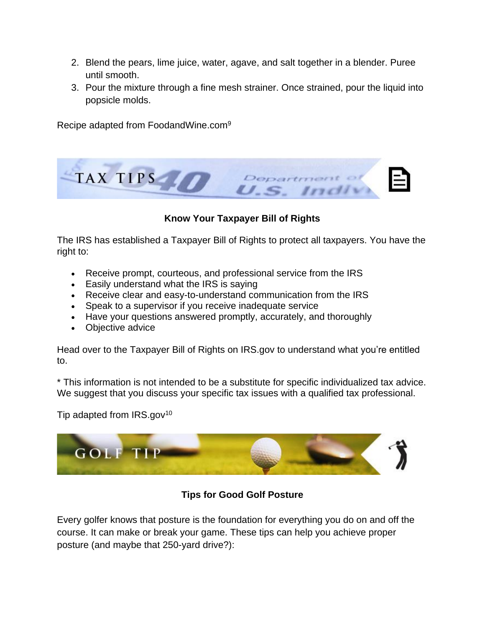- 2. Blend the pears, lime juice, water, agave, and salt together in a blender. Puree until smooth.
- 3. Pour the mixture through a fine mesh strainer. Once strained, pour the liquid into popsicle molds.

Recipe adapted from FoodandWine.com<sup>9</sup>



# **Know Your Taxpayer Bill of Rights**

The IRS has established a Taxpayer Bill of Rights to protect all taxpayers. You have the right to:

- Receive prompt, courteous, and professional service from the IRS
- Easily understand what the IRS is saying
- Receive clear and easy-to-understand communication from the IRS
- Speak to a supervisor if you receive inadequate service
- Have your questions answered promptly, accurately, and thoroughly
- Objective advice

Head over to the Taxpayer Bill of Rights on IRS.gov to understand what you're entitled to.

\* This information is not intended to be a substitute for specific individualized tax advice. We suggest that you discuss your specific tax issues with a qualified tax professional.

Tip adapted from  $IRS.gov^{10}$ 



# **Tips for Good Golf Posture**

Every golfer knows that posture is the foundation for everything you do on and off the course. It can make or break your game. These tips can help you achieve proper posture (and maybe that 250-yard drive?):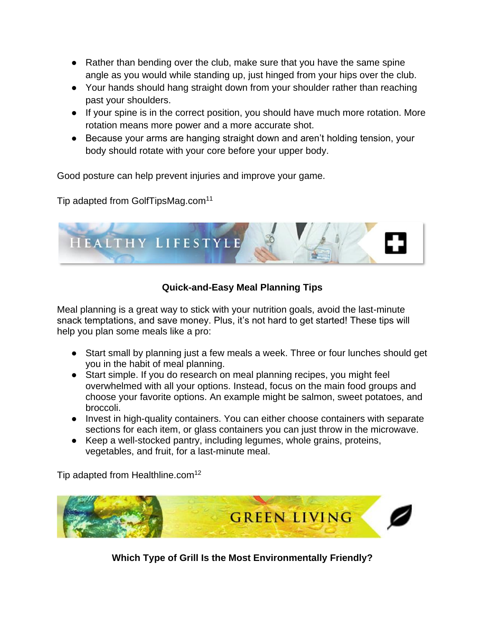- Rather than bending over the club, make sure that you have the same spine angle as you would while standing up, just hinged from your hips over the club.
- Your hands should hang straight down from your shoulder rather than reaching past your shoulders.
- If your spine is in the correct position, you should have much more rotation. More rotation means more power and a more accurate shot.
- Because your arms are hanging straight down and aren't holding tension, your body should rotate with your core before your upper body.

Good posture can help prevent injuries and improve your game.

Tip adapted from GolfTipsMag.com<sup>11</sup>



# **Quick-and-Easy Meal Planning Tips**

Meal planning is a great way to stick with your nutrition goals, avoid the last-minute snack temptations, and save money. Plus, it's not hard to get started! These tips will help you plan some meals like a pro:

- Start small by planning just a few meals a week. Three or four lunches should get you in the habit of meal planning.
- Start simple. If you do research on meal planning recipes, you might feel overwhelmed with all your options. Instead, focus on the main food groups and choose your favorite options. An example might be salmon, sweet potatoes, and broccoli.
- Invest in high-quality containers. You can either choose containers with separate sections for each item, or glass containers you can just throw in the microwave.
- Keep a well-stocked pantry, including legumes, whole grains, proteins, vegetables, and fruit, for a last-minute meal.

Tip adapted from Healthline.com<sup>12</sup>



**Which Type of Grill Is the Most Environmentally Friendly?**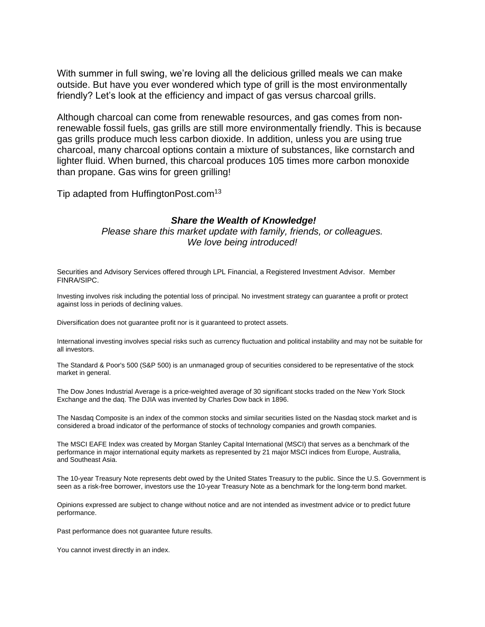With summer in full swing, we're loving all the delicious grilled meals we can make outside. But have you ever wondered which type of grill is the most environmentally friendly? Let's look at the efficiency and impact of gas versus charcoal grills.

Although charcoal can come from renewable resources, and gas comes from nonrenewable fossil fuels, gas grills are still more environmentally friendly. This is because gas grills produce much less carbon dioxide. In addition, unless you are using true charcoal, many charcoal options contain a mixture of substances, like cornstarch and lighter fluid. When burned, this charcoal produces 105 times more carbon monoxide than propane. Gas wins for green grilling!

Tip adapted from HuffingtonPost.com<sup>13</sup>

### *Share the Wealth of Knowledge!*

*Please share this market update with family, friends, or colleagues. We love being introduced!*

Securities and Advisory Services offered through LPL Financial, a Registered Investment Advisor. Member FINRA/SIPC.

Investing involves risk including the potential loss of principal. No investment strategy can guarantee a profit or protect against loss in periods of declining values.

Diversification does not guarantee profit nor is it guaranteed to protect assets.

International investing involves special risks such as currency fluctuation and political instability and may not be suitable for all investors.

The Standard & Poor's 500 (S&P 500) is an unmanaged group of securities considered to be representative of the stock market in general.

The Dow Jones Industrial Average is a price-weighted average of 30 significant stocks traded on the New York Stock Exchange and the daq. The DJIA was invented by Charles Dow back in 1896.

The Nasdaq Composite is an index of the common stocks and similar securities listed on the Nasdaq stock market and is considered a broad indicator of the performance of stocks of technology companies and growth companies.

The MSCI EAFE Index was created by Morgan Stanley Capital International (MSCI) that serves as a benchmark of the performance in major international equity markets as represented by 21 major MSCI indices from Europe, Australia, and Southeast Asia.

The 10-year Treasury Note represents debt owed by the United States Treasury to the public. Since the U.S. Government is seen as a risk-free borrower, investors use the 10-year Treasury Note as a benchmark for the long-term bond market.

Opinions expressed are subject to change without notice and are not intended as investment advice or to predict future performance.

Past performance does not guarantee future results.

You cannot invest directly in an index.